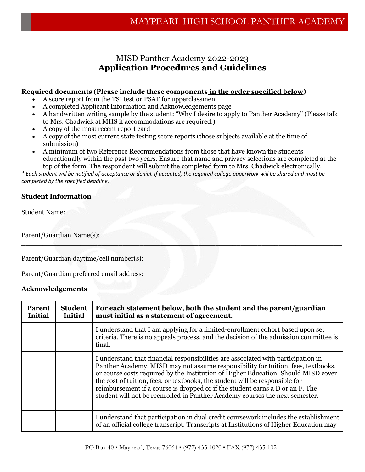## MISD Panther Academy 2022-2023 **Application Procedures and Guidelines**

### **Required documents (Please include these components in the order specified below)**

- A score report from the TSI test or PSAT for upperclassmen
- A completed Applicant Information and Acknowledgements page
- A handwritten writing sample by the student: "Why I desire to apply to Panther Academy" (Please talk to Mrs. Chadwick at MHS if accommodations are required.)
- A copy of the most recent report card
- A copy of the most current state testing score reports (those subjects available at the time of submission)
- A minimum of two Reference Recommendations from those that have known the students educationally within the past two years. Ensure that name and privacy selections are completed at the top of the form. The respondent will submit the completed form to Mrs. Chadwick electronically.

 $\mathcal{L}_\text{max} = \mathcal{L}_\text{max}$  , and the set of  $\mathcal{L}_\text{max}$  ,  $\mathcal{L}_\text{max}$  ,  $\mathcal{L}_\text{max}$  ,  $\mathcal{L}_\text{max}$  ,  $\mathcal{L}_\text{max}$ 

\_\_\_\_\_\_\_\_\_\_\_\_\_\_\_\_\_\_\_\_\_\_\_\_\_\_\_\_\_\_\_\_\_\_\_\_\_\_\_\_\_\_\_\_\_\_\_\_\_\_\_\_\_\_\_\_\_\_\_\_\_\_\_\_\_\_\_\_\_\_\_\_\_\_\_\_

\_\_\_\_\_\_\_\_\_\_\_\_\_\_\_\_\_\_\_\_\_\_\_\_\_\_\_\_\_\_\_\_\_\_\_\_\_\_\_\_\_\_\_\_\_\_\_\_\_\_\_\_\_\_\_\_\_\_\_\_\_\_\_\_\_\_\_\_\_\_\_\_\_\_\_\_

*\* Each student will be notified of acceptance or denial. If accepted, the required college paperwork will be shared and must be completed by the specified deadline.* 

### **Student Information**

Student Name:

Parent/Guardian Name(s):

Parent/Guardian daytime/cell number(s):

Parent/Guardian preferred email address:

### **Acknowledgements**

| <b>Parent</b><br><b>Initial</b> | <b>Student</b><br><b>Initial</b> | For each statement below, both the student and the parent/guardian<br>must initial as a statement of agreement.                                                                                                                                                                                                                                                                                                                                                                                               |
|---------------------------------|----------------------------------|---------------------------------------------------------------------------------------------------------------------------------------------------------------------------------------------------------------------------------------------------------------------------------------------------------------------------------------------------------------------------------------------------------------------------------------------------------------------------------------------------------------|
|                                 |                                  | I understand that I am applying for a limited-enrollment cohort based upon set<br>criteria. There is no appeals process, and the decision of the admission committee is<br>final.                                                                                                                                                                                                                                                                                                                             |
|                                 |                                  | I understand that financial responsibilities are associated with participation in<br>Panther Academy. MISD may not assume responsibility for tuition, fees, textbooks,<br>or course costs required by the Institution of Higher Education. Should MISD cover<br>the cost of tuition, fees, or textbooks, the student will be responsible for<br>reimbursement if a course is dropped or if the student earns a D or an F. The<br>student will not be reenrolled in Panther Academy courses the next semester. |
|                                 |                                  | I understand that participation in dual credit coursework includes the establishment<br>of an official college transcript. Transcripts at Institutions of Higher Education may                                                                                                                                                                                                                                                                                                                                |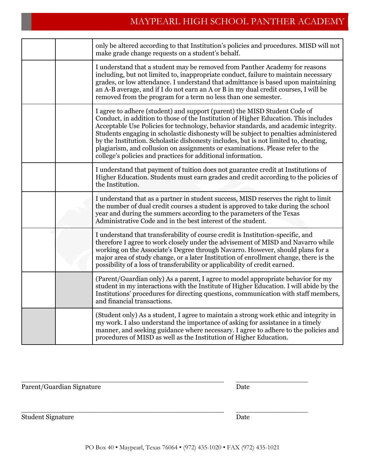# MAYPEARL HIGH SCHOOL PANTHER ACADEMY

|  | only be altered according to that Institution's policies and procedures. MISD will not<br>make grade change requests on a student's behalf.                                                                                                                                                                                                                                                                                                                                                                                                                                              |
|--|------------------------------------------------------------------------------------------------------------------------------------------------------------------------------------------------------------------------------------------------------------------------------------------------------------------------------------------------------------------------------------------------------------------------------------------------------------------------------------------------------------------------------------------------------------------------------------------|
|  | I understand that a student may be removed from Panther Academy for reasons<br>including, but not limited to, inappropriate conduct, failure to maintain necessary<br>grades, or low attendance. I understand that admittance is based upon maintaining<br>an A-B average, and if I do not earn an A or B in my dual credit courses, I will be<br>removed from the program for a term no less than one semester.                                                                                                                                                                         |
|  | I agree to adhere (student) and support (parent) the MISD Student Code of<br>Conduct, in addition to those of the Institution of Higher Education. This includes<br>Acceptable Use Policies for technology, behavior standards, and academic integrity.<br>Students engaging in scholastic dishonesty will be subject to penalties administered<br>by the Institution. Scholastic dishonesty includes, but is not limited to, cheating,<br>plagiarism, and collusion on assignments or examinations. Please refer to the<br>college's policies and practices for additional information. |
|  | I understand that payment of tuition does not guarantee credit at Institutions of<br>Higher Education. Students must earn grades and credit according to the policies of<br>the Institution.                                                                                                                                                                                                                                                                                                                                                                                             |
|  | I understand that as a partner in student success, MISD reserves the right to limit<br>the number of dual credit courses a student is approved to take during the school<br>year and during the summers according to the parameters of the Texas<br>Administrative Code and in the best interest of the student.                                                                                                                                                                                                                                                                         |
|  | I understand that transferability of course credit is Institution-specific, and<br>therefore I agree to work closely under the advisement of MISD and Navarro while<br>working on the Associate's Degree through Navarro. However, should plans for a<br>major area of study change, or a later Institution of enrollment change, there is the<br>possibility of a loss of transferability or applicability of credit earned.                                                                                                                                                            |
|  | (Parent/Guardian only) As a parent, I agree to model appropriate behavior for my<br>student in my interactions with the Institute of Higher Education. I will abide by the<br>Institutions' procedures for directing questions, communication with staff members,<br>and financial transactions.                                                                                                                                                                                                                                                                                         |
|  | (Student only) As a student, I agree to maintain a strong work ethic and integrity in<br>my work. I also understand the importance of asking for assistance in a timely<br>manner, and seeking guidance where necessary. I agree to adhere to the policies and<br>procedures of MISD as well as the Institution of Higher Education.                                                                                                                                                                                                                                                     |

| Parent/Guardian Signature | Date |  |  |
|---------------------------|------|--|--|
| <b>Student Signature</b>  | Date |  |  |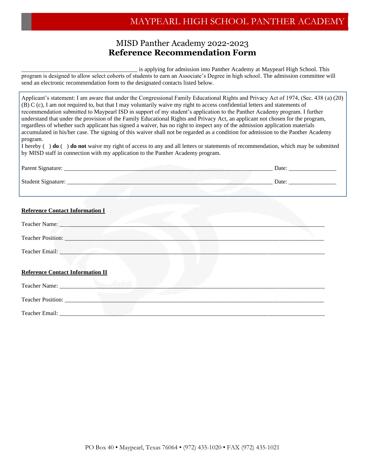# MAYPEARL HIGH SCHOOL PANTHER ACADEMY

### MISD Panther Academy 2022-2023 **Reference Recommendation Form**

is applying for admission into Panther Academy at Maypearl High School. This program is designed to allow select cohorts of students to earn an Associate's Degree in high school. The admission committee will send an electronic recommendation form to the designated contacts listed below.

Applicant's statement: I am aware that under the Congressional Family Educational Rights and Privacy Act of 1974, (Sec. 438 (a) (20) (B) C (c), I am not required to, but that I may voluntarily waive my right to access confidential letters and statements of recommendation submitted to Maypearl ISD in support of my student's application to the Panther Academy program. I further understand that under the provision of the Family Educational Rights and Privacy Act, an applicant not chosen for the program, regardless of whether such applicant has signed a waiver, has no right to inspect any of the admission application materials accumulated in his/her case. The signing of this waiver shall not be regarded as a condition for admission to the Panther Academy program.

I hereby ( ) **do** ( ) **do not** waive my right of access to any and all letters or statements of recommendation, which may be submitted by MISD staff in connection with my application to the Panther Academy program.

|                                                                                                                                                                                                                                     | Date: $\frac{1}{\sqrt{1-\frac{1}{2}} \cdot \frac{1}{2}}$ |
|-------------------------------------------------------------------------------------------------------------------------------------------------------------------------------------------------------------------------------------|----------------------------------------------------------|
|                                                                                                                                                                                                                                     | Date: $\qquad \qquad$                                    |
|                                                                                                                                                                                                                                     |                                                          |
| <b>Reference Contact Information I</b>                                                                                                                                                                                              |                                                          |
| Teacher Name: 1988                                                                                                                                                                                                                  |                                                          |
| Teacher Position:                                                                                                                                                                                                                   |                                                          |
| Teacher Email: <u>Campbell</u> Communication of the Communication of the Communication of the Communication of the Communication of the Communication of the Communication of the Communication of the Communication of the Communi |                                                          |
| <b>Reference Contact Information II</b>                                                                                                                                                                                             |                                                          |
|                                                                                                                                                                                                                                     |                                                          |
|                                                                                                                                                                                                                                     |                                                          |
| Teacher Email: Value of the Contract of the Contract of the Contract of the Contract of the Contract of the Contract of the Contract of the Contract of the Contract of the Contract of the Contract of the Contract of the Co      |                                                          |